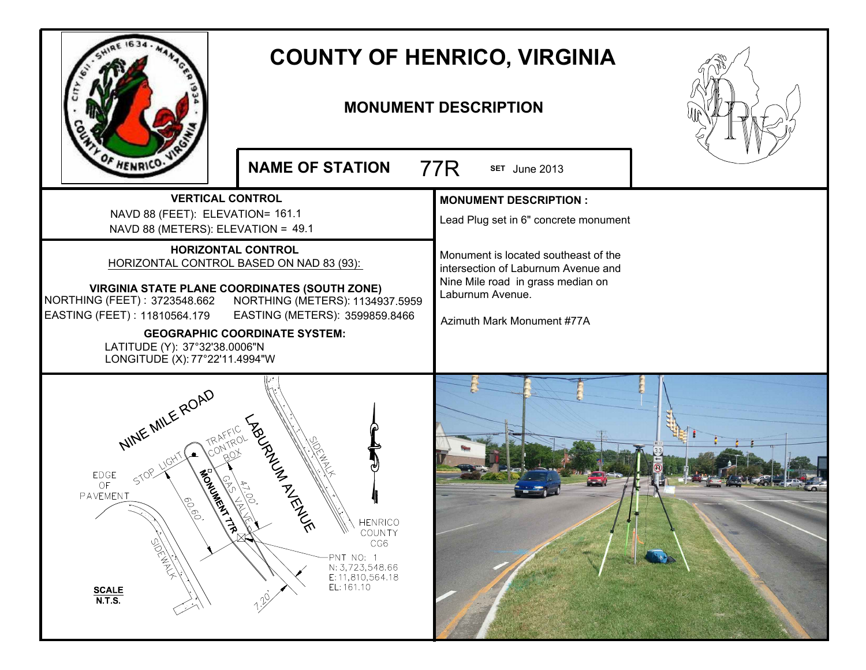